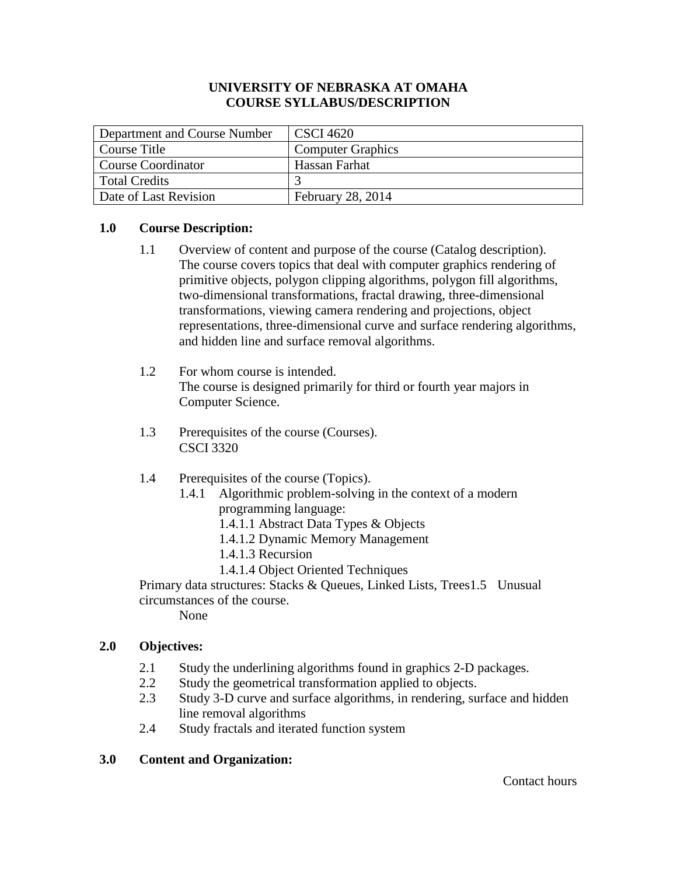## **UNIVERSITY OF NEBRASKA AT OMAHA COURSE SYLLABUS/DESCRIPTION**

| Department and Course Number | <b>CSCI</b> 4620         |
|------------------------------|--------------------------|
| Course Title                 | <b>Computer Graphics</b> |
| <b>Course Coordinator</b>    | Hassan Farhat            |
| <b>Total Credits</b>         |                          |
| Date of Last Revision        | February 28, 2014        |

# **1.0 Course Description:**

- 1.1 Overview of content and purpose of the course (Catalog description). The course covers topics that deal with computer graphics rendering of primitive objects, polygon clipping algorithms, polygon fill algorithms, two-dimensional transformations, fractal drawing, three-dimensional transformations, viewing camera rendering and projections, object representations, three-dimensional curve and surface rendering algorithms, and hidden line and surface removal algorithms.
- 1.2 For whom course is intended. The course is designed primarily for third or fourth year majors in Computer Science.
- 1.3 Prerequisites of the course (Courses). CSCI 3320

# 1.4 Prerequisites of the course (Topics).

- 1.4.1 Algorithmic problem-solving in the context of a modern programming language:
	- 1.4.1.1 Abstract Data Types & Objects
	- 1.4.1.2 Dynamic Memory Management
	- 1.4.1.3 Recursion
	- 1.4.1.4 Object Oriented Techniques

Primary data structures: Stacks & Queues, Linked Lists, Trees1.5 Unusual circumstances of the course.

None

# **2.0 Objectives:**

- 2.1 Study the underlining algorithms found in graphics 2-D packages.
- 2.2 Study the geometrical transformation applied to objects.
- 2.3 Study 3-D curve and surface algorithms, in rendering, surface and hidden line removal algorithms
- 2.4 Study fractals and iterated function system

# **3.0 Content and Organization:**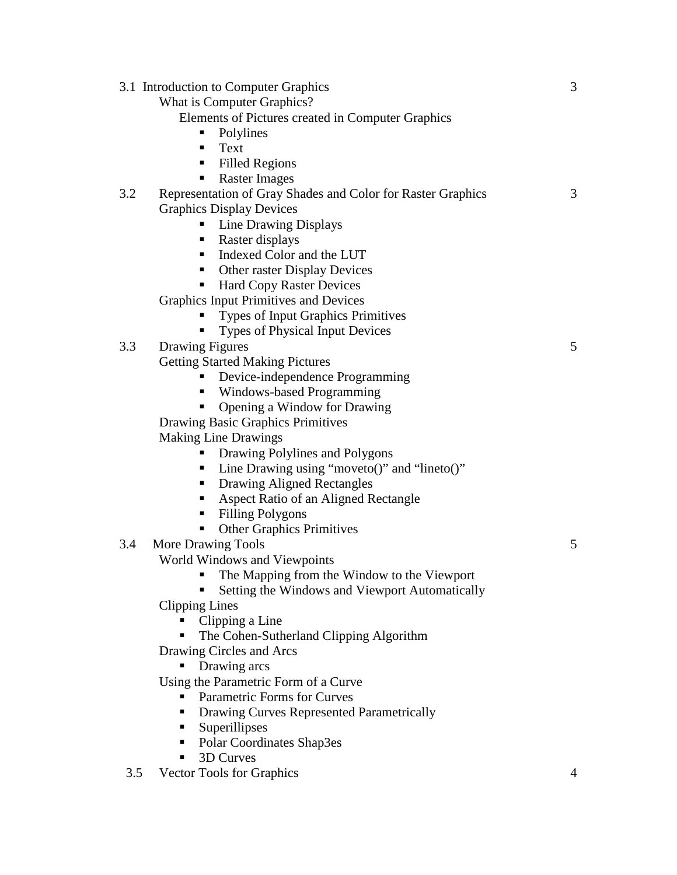|     | 3.1 Introduction to Computer Graphics                       | 3 |
|-----|-------------------------------------------------------------|---|
|     | What is Computer Graphics?                                  |   |
|     | Elements of Pictures created in Computer Graphics           |   |
|     | Polylines                                                   |   |
|     | Text<br>п                                                   |   |
|     | <b>Filled Regions</b><br>$\blacksquare$                     |   |
|     | <b>Raster Images</b><br>٠                                   |   |
| 3.2 | Representation of Gray Shades and Color for Raster Graphics | 3 |
|     | <b>Graphics Display Devices</b>                             |   |
|     | <b>Line Drawing Displays</b><br>ш                           |   |
|     | Raster displays<br>п                                        |   |
|     | Indexed Color and the LUT                                   |   |
|     | <b>Other raster Display Devices</b><br>ш.                   |   |
|     | <b>Hard Copy Raster Devices</b>                             |   |
|     | <b>Graphics Input Primitives and Devices</b>                |   |
|     | Types of Input Graphics Primitives                          |   |
|     | <b>Types of Physical Input Devices</b>                      |   |
| 3.3 | <b>Drawing Figures</b>                                      | 5 |
|     | <b>Getting Started Making Pictures</b>                      |   |
|     | Device-independence Programming                             |   |
|     | Windows-based Programming<br>٠                              |   |
|     | Opening a Window for Drawing                                |   |
|     | Drawing Basic Graphics Primitives                           |   |
|     | <b>Making Line Drawings</b>                                 |   |
|     | Drawing Polylines and Polygons                              |   |
|     | Line Drawing using "moveto()" and "lineto()"                |   |
|     | Drawing Aligned Rectangles<br>п                             |   |
|     | Aspect Ratio of an Aligned Rectangle<br>ш                   |   |
|     | <b>Filling Polygons</b><br>п                                |   |
|     | <b>Other Graphics Primitives</b><br>٠                       |   |
| 3.4 | More Drawing Tools                                          | 5 |
|     | World Windows and Viewpoints                                |   |
|     | The Mapping from the Window to the Viewport                 |   |
|     | Setting the Windows and Viewport Automatically              |   |
|     | <b>Clipping Lines</b>                                       |   |
|     | Clipping a Line                                             |   |
|     | The Cohen-Sutherland Clipping Algorithm                     |   |
|     | Drawing Circles and Arcs                                    |   |
|     | Drawing arcs<br>Using the Parametric Form of a Curve        |   |
|     | <b>Parametric Forms for Curves</b>                          |   |
|     | Drawing Curves Represented Parametrically<br>п              |   |
|     | Superillipses<br>п                                          |   |
|     | Polar Coordinates Shap3es<br>ш                              |   |
|     | 3D Curves<br>ш                                              |   |
|     |                                                             |   |

3.5 Vector Tools for Graphics 4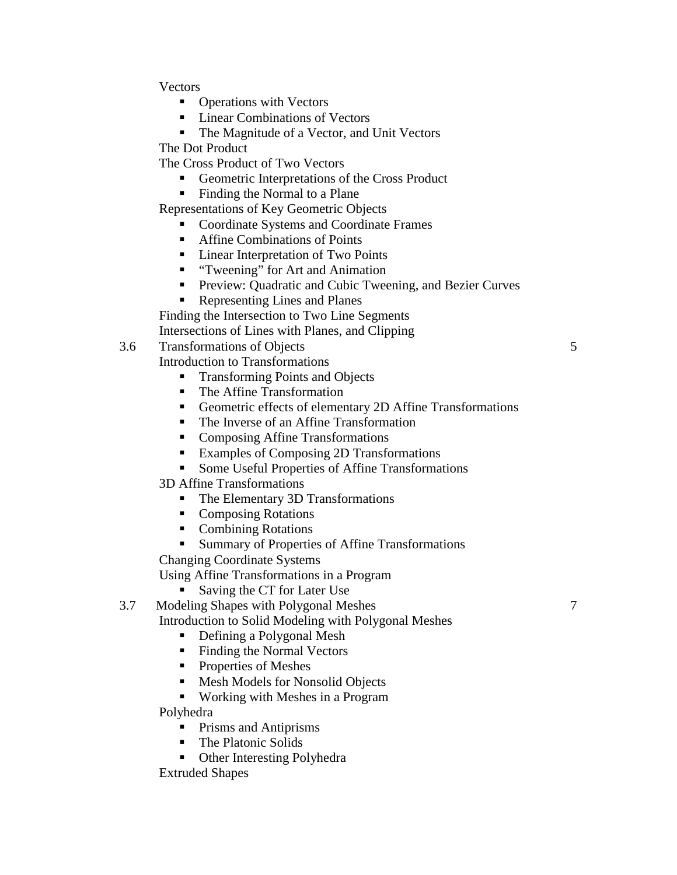**Vectors** 

- Operations with Vectors
- Linear Combinations of Vectors
- The Magnitude of a Vector, and Unit Vectors

The Dot Product

- The Cross Product of Two Vectors
	- Geometric Interpretations of the Cross Product
	- Finding the Normal to a Plane

Representations of Key Geometric Objects

- Coordinate Systems and Coordinate Frames
- Affine Combinations of Points
- Linear Interpretation of Two Points
- **"** "Tweening" for Art and Animation
- **Preview: Quadratic and Cubic Tweening, and Bezier Curves**
- Representing Lines and Planes

Finding the Intersection to Two Line Segments

Intersections of Lines with Planes, and Clipping

- 3.6 Transformations of Objects 5
	- Introduction to Transformations
		- **Transforming Points and Objects**
		- The Affine Transformation
		- Geometric effects of elementary 2D Affine Transformations
		- The Inverse of an Affine Transformation
		- Composing Affine Transformations
		- Examples of Composing 2D Transformations
		- Some Useful Properties of Affine Transformations
		- 3D Affine Transformations
			- The Elementary 3D Transformations
			- **Composing Rotations**
			- Combining Rotations
			- **Summary of Properties of Affine Transformations**

Changing Coordinate Systems

Using Affine Transformations in a Program

Saving the CT for Later Use

3.7 Modeling Shapes with Polygonal Meshes 7

- Introduction to Solid Modeling with Polygonal Meshes
	- Defining a Polygonal Mesh
	- Finding the Normal Vectors
	- Properties of Meshes
	- Mesh Models for Nonsolid Objects
	- Working with Meshes in a Program

Polyhedra

- **Prisms and Antiprisms**
- The Platonic Solids
- Other Interesting Polyhedra

Extruded Shapes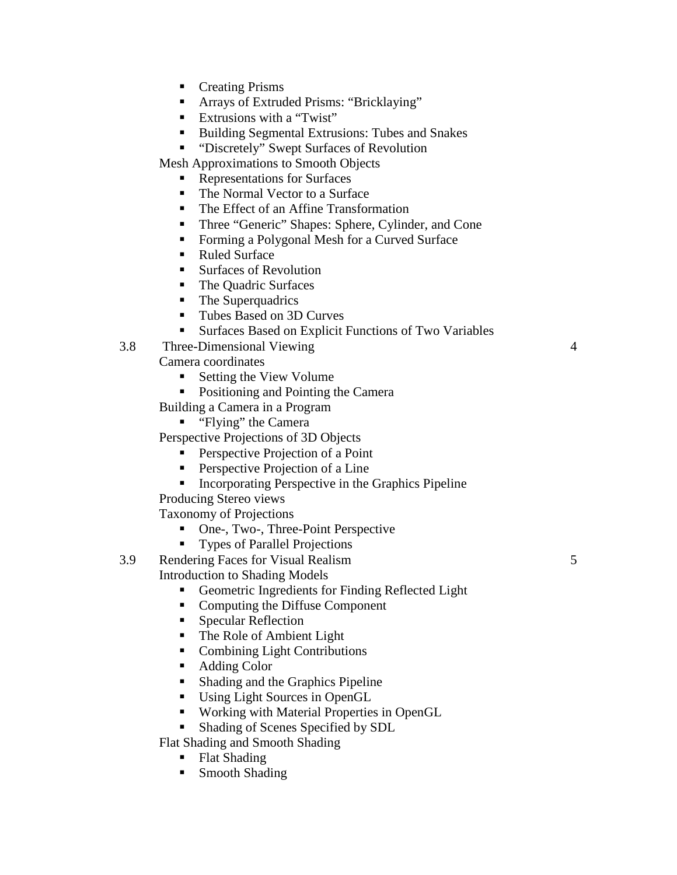- **Creating Prisms**
- Arrays of Extruded Prisms: "Bricklaying"
- Extrusions with a "Twist"
- Building Segmental Extrusions: Tubes and Snakes
- "Discretely" Swept Surfaces of Revolution

Mesh Approximations to Smooth Objects

- Representations for Surfaces
- The Normal Vector to a Surface
- The Effect of an Affine Transformation
- **Three "Generic" Shapes: Sphere, Cylinder, and Cone**
- Forming a Polygonal Mesh for a Curved Surface
- Ruled Surface
- Surfaces of Revolution
- The Quadric Surfaces
- The Superquadrics
- Tubes Based on 3D Curves
- **Surfaces Based on Explicit Functions of Two Variables**
- 3.8 Three-Dimensional Viewing 4

Camera coordinates

- Setting the View Volume
- Positioning and Pointing the Camera

Building a Camera in a Program

**"** "Flying" the Camera

Perspective Projections of 3D Objects

- Perspective Projection of a Point
- **Perspective Projection of a Line**
- Incorporating Perspective in the Graphics Pipeline

Producing Stereo views

Taxonomy of Projections

- One-, Two-, Three-Point Perspective
- **Types of Parallel Projections**

3.9 Rendering Faces for Visual Realism 5 Introduction to Shading Models

- Geometric Ingredients for Finding Reflected Light
- Computing the Diffuse Component
- Specular Reflection
- The Role of Ambient Light
- Combining Light Contributions
- Adding Color
- **Shading and the Graphics Pipeline**
- Using Light Sources in OpenGL
- Working with Material Properties in OpenGL
- Shading of Scenes Specified by SDL

Flat Shading and Smooth Shading

- Flat Shading
- Smooth Shading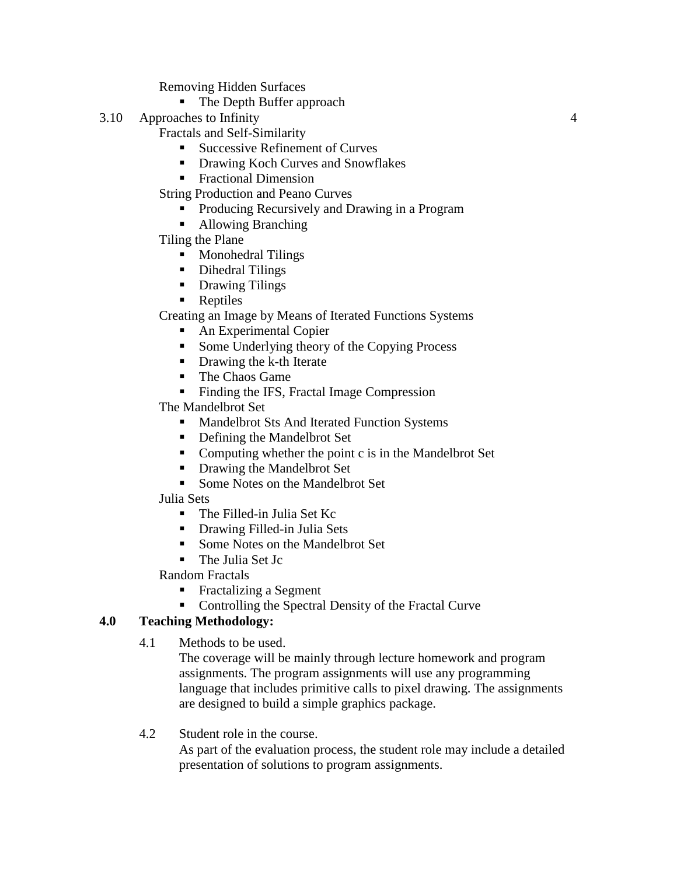Removing Hidden Surfaces

- The Depth Buffer approach
- 3.10 Approaches to Infinity 4

Fractals and Self-Similarity

- Successive Refinement of Curves
- **•** Drawing Koch Curves and Snowflakes
- **Fractional Dimension**

String Production and Peano Curves

- Producing Recursively and Drawing in a Program
- Allowing Branching
- Tiling the Plane
	- **Monohedral Tilings**
	- Dihedral Tilings
	- **•** Drawing Tilings
	- **Reptiles**

Creating an Image by Means of Iterated Functions Systems

- An Experimental Copier
- Some Underlying theory of the Copying Process
- Drawing the k-th Iterate
- The Chaos Game
- Finding the IFS, Fractal Image Compression

The Mandelbrot Set

- **Mandelbrot Sts And Iterated Function Systems**
- Defining the Mandelbrot Set
- Computing whether the point c is in the Mandelbrot Set
- Drawing the Mandelbrot Set
- Some Notes on the Mandelbrot Set

# Julia Sets

- The Filled-in Julia Set Kc
- Drawing Filled-in Julia Sets
- Some Notes on the Mandelbrot Set
- The Julia Set Jc

Random Fractals

- **Fractalizing a Segment**
- Controlling the Spectral Density of the Fractal Curve

# **4.0 Teaching Methodology:**

4.1 Methods to be used.

The coverage will be mainly through lecture homework and program assignments. The program assignments will use any programming language that includes primitive calls to pixel drawing. The assignments are designed to build a simple graphics package.

4.2 Student role in the course.

As part of the evaluation process, the student role may include a detailed presentation of solutions to program assignments.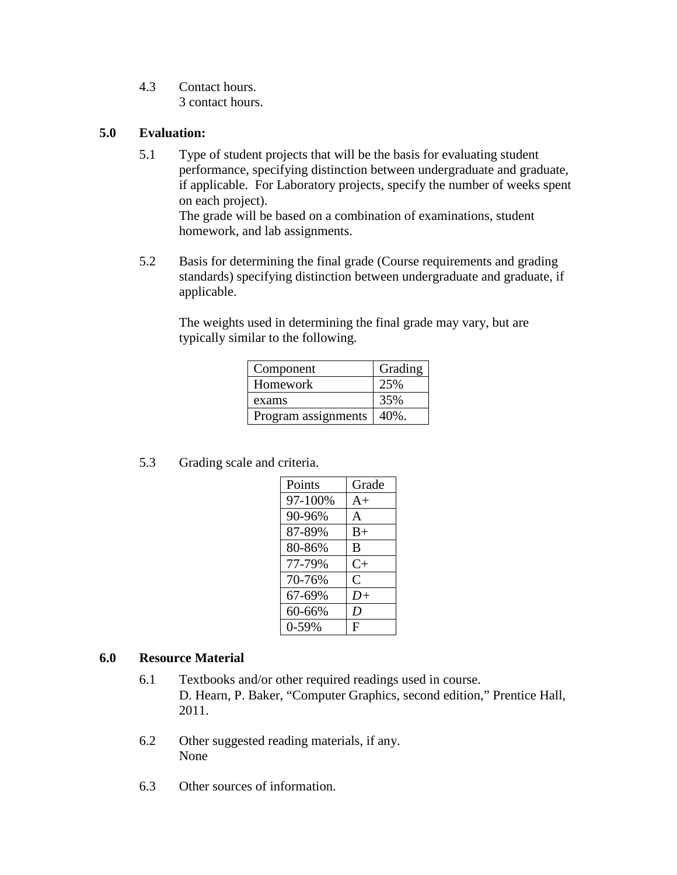4.3 Contact hours. 3 contact hours.

#### **5.0 Evaluation:**

5.1 Type of student projects that will be the basis for evaluating student performance, specifying distinction between undergraduate and graduate, if applicable. For Laboratory projects, specify the number of weeks spent on each project). The grade will be based on a combination of examinations, student

homework, and lab assignments.

5.2 Basis for determining the final grade (Course requirements and grading standards) specifying distinction between undergraduate and graduate, if applicable.

The weights used in determining the final grade may vary, but are typically similar to the following.

| Component           | Grading  |
|---------------------|----------|
| Homework            | 25%      |
| exams               | 35%      |
| Program assignments | $40\%$ . |

5.3 Grading scale and criteria.

| Points    | Grade        |
|-----------|--------------|
| 97-100%   | $A+$         |
| 90-96%    | $\mathsf{A}$ |
| 87-89%    | $B+$         |
| 80-86%    | B            |
| 77-79%    | $C+$         |
| 70-76%    | C            |
| 67-69%    | $D+$         |
| 60-66%    | D            |
| $0 - 59%$ | F            |

#### **6.0 Resource Material**

- 6.1 Textbooks and/or other required readings used in course. D. Hearn, P. Baker, "Computer Graphics, second edition," Prentice Hall, 2011.
- 6.2 Other suggested reading materials, if any. None
- 6.3 Other sources of information.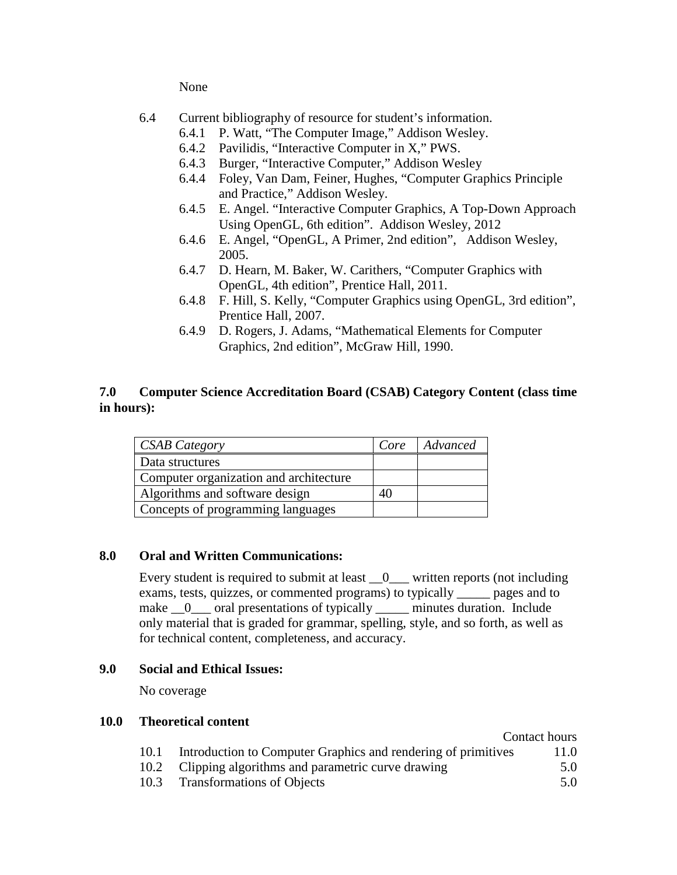None

- 6.4 Current bibliography of resource for student's information.
	- 6.4.1 P. Watt, "The Computer Image," Addison Wesley.
	- 6.4.2 Pavilidis, "Interactive Computer in X," PWS.
	- 6.4.3 Burger, "Interactive Computer," Addison Wesley
	- 6.4.4 Foley, Van Dam, Feiner, Hughes, "Computer Graphics Principle and Practice," Addison Wesley.
	- 6.4.5 E. Angel. "Interactive Computer Graphics, A Top-Down Approach Using OpenGL, 6th edition". Addison Wesley, 2012
	- 6.4.6 E. Angel, "OpenGL, A Primer, 2nd edition", Addison Wesley, 2005.
	- 6.4.7 D. Hearn, M. Baker, W. Carithers, "Computer Graphics with OpenGL, 4th edition", Prentice Hall, 2011.
	- 6.4.8 F. Hill, S. Kelly, "Computer Graphics using OpenGL, 3rd edition", Prentice Hall, 2007.
	- 6.4.9 D. Rogers, J. Adams, "Mathematical Elements for Computer Graphics, 2nd edition", McGraw Hill, 1990.

### **7.0 Computer Science Accreditation Board (CSAB) Category Content (class time in hours):**

| <b>CSAB Category</b>                   | Core | Advanced |
|----------------------------------------|------|----------|
| Data structures                        |      |          |
| Computer organization and architecture |      |          |
| Algorithms and software design         | 40   |          |
| Concepts of programming languages      |      |          |

#### **8.0 Oral and Written Communications:**

Every student is required to submit at least \_\_0\_\_\_ written reports (not including exams, tests, quizzes, or commented programs) to typically \_\_\_\_\_ pages and to make  $\qquad$  oral presentations of typically minutes duration. Include only material that is graded for grammar, spelling, style, and so forth, as well as for technical content, completeness, and accuracy.

#### **9.0 Social and Ethical Issues:**

No coverage

#### **10.0 Theoretical content**

|      |                                                               | Contact hours |
|------|---------------------------------------------------------------|---------------|
| 10.1 | Introduction to Computer Graphics and rendering of primitives | 11.0          |
|      | 10.2 Clipping algorithms and parametric curve drawing         | 5.0           |

10.3 Transformations of Objects 5.0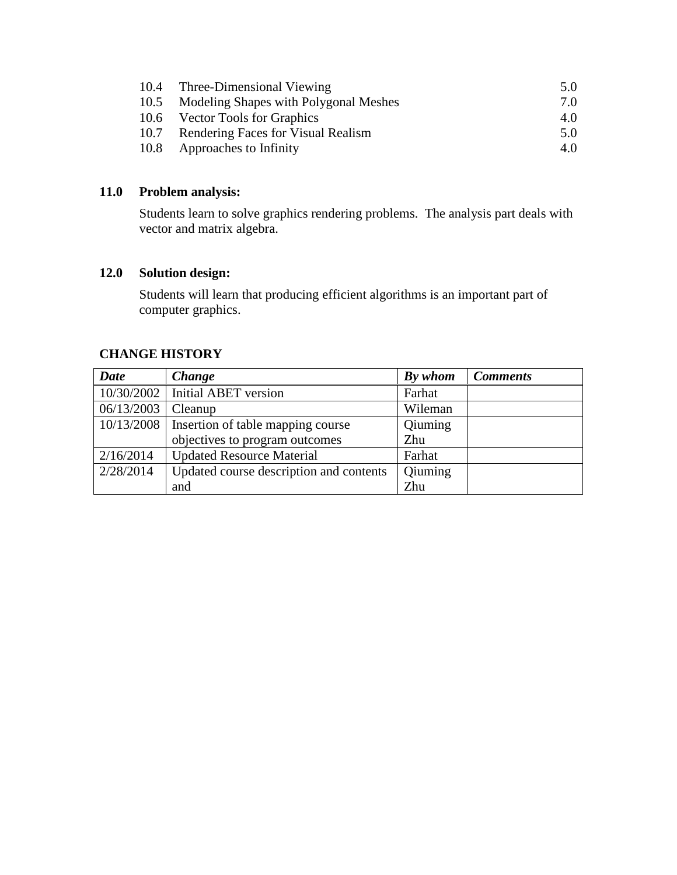| 10.4 Three-Dimensional Viewing             | 5.0 |
|--------------------------------------------|-----|
| 10.5 Modeling Shapes with Polygonal Meshes | 7.0 |
| 10.6 Vector Tools for Graphics             | 4.0 |
| 10.7 Rendering Faces for Visual Realism    | 5.0 |
| 10.8 Approaches to Infinity                | 4.0 |

# **11.0 Problem analysis:**

Students learn to solve graphics rendering problems. The analysis part deals with vector and matrix algebra.

## **12.0 Solution design:**

Students will learn that producing efficient algorithms is an important part of computer graphics.

# **CHANGE HISTORY**

| Date       | <b>Change</b>                           | By whom | <b>Comments</b> |
|------------|-----------------------------------------|---------|-----------------|
|            | $10/30/2002$ Initial ABET version       | Farhat  |                 |
| 06/13/2003 | Cleanup                                 | Wileman |                 |
| 10/13/2008 | Insertion of table mapping course       | Qiuming |                 |
|            | objectives to program outcomes          | Zhu     |                 |
| 2/16/2014  | <b>Updated Resource Material</b>        | Farhat  |                 |
| 2/28/2014  | Updated course description and contents | Qiuming |                 |
|            | and                                     | Zhu     |                 |